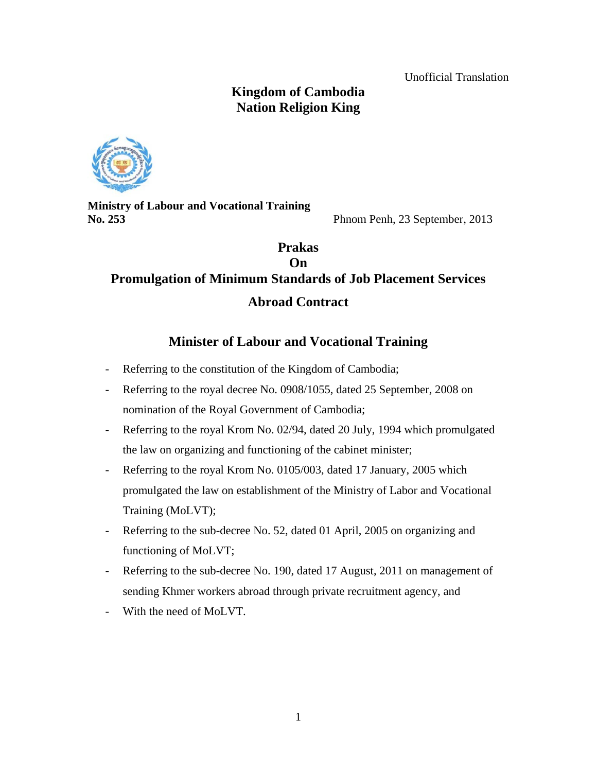Unofficial Translation

# **Kingdom of Cambodia Nation Religion King**



**Ministry of Labour and Vocational Training No. 253** Phnom Penh, 23 September, 2013

# **Prakas On Promulgation of Minimum Standards of Job Placement Services Abroad Contract**

# **Minister of Labour and Vocational Training**

- Referring to the constitution of the Kingdom of Cambodia;
- Referring to the royal decree No. 0908/1055, dated 25 September, 2008 on nomination of the Royal Government of Cambodia;
- Referring to the royal Krom No. 02/94, dated 20 July, 1994 which promulgated the law on organizing and functioning of the cabinet minister;
- Referring to the royal Krom No. 0105/003, dated 17 January, 2005 which promulgated the law on establishment of the Ministry of Labor and Vocational Training (MoLVT);
- Referring to the sub-decree No. 52, dated 01 April, 2005 on organizing and functioning of MoLVT;
- Referring to the sub-decree No. 190, dated 17 August, 2011 on management of sending Khmer workers abroad through private recruitment agency, and
- With the need of MoLVT.